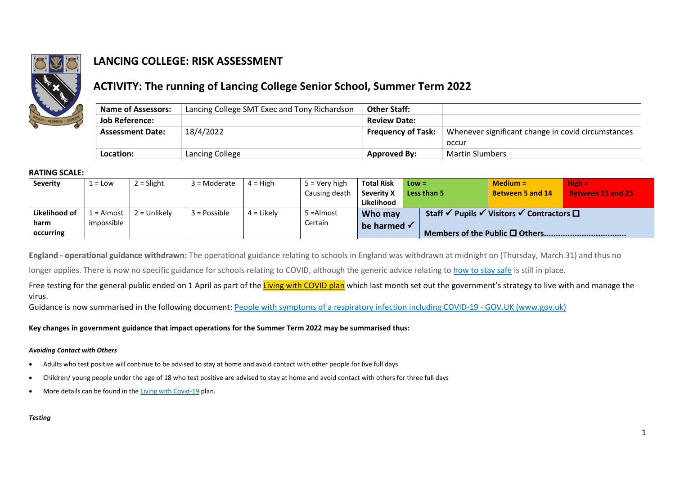

# **LANCING COLLEGE: RISK ASSESSMENT**

## **ACTIVITY: The running of Lancing College Senior School, Summer Term 2022**

| <b>Name of Assessors:</b> | Lancing College SMT Exec and Tony Richardson | <b>Other Staff:</b>       |                                                    |
|---------------------------|----------------------------------------------|---------------------------|----------------------------------------------------|
| <b>Job Reference:</b>     |                                              | <b>Review Date:</b>       |                                                    |
| <b>Assessment Date:</b>   | 18/4/2022                                    | <b>Frequency of Task:</b> | Whenever significant change in covid circumstances |
|                           |                                              |                           | occur                                              |
| Location:                 | Lancing College                              | <b>Approved By:</b>       | <b>Martin Slumbers</b>                             |

### **RATING SCALE:**

| Severity         | $\mathsf{I}$ = Low | $2 =$ Slight   | 3 = Moderate | $4 = High$   | $5 =$ Verv high | <b>Total Risk</b> | $Low =$ |                                        | $Median =$                                      | $High =$                 |
|------------------|--------------------|----------------|--------------|--------------|-----------------|-------------------|---------|----------------------------------------|-------------------------------------------------|--------------------------|
|                  |                    |                |              |              | Causing death   | <b>Severity X</b> |         | Less than 5                            | Between 5 and 14                                | <b>Between 15 and 25</b> |
|                  |                    |                |              |              |                 | Likelihood        |         |                                        |                                                 |                          |
| Likelihood of    | . = Almost         | $2 =$ Unlikely | 3 = Possible | $4 =$ Likely | 5 = Almost      | Who may           |         | Staff $\checkmark$ Pupils $\checkmark$ | Visitors √<br>$\ulcorner$ Contractors $\square$ |                          |
| harm             | impossible         |                |              |              | Certain         | be harmed √       |         |                                        |                                                 |                          |
| <b>Occurring</b> |                    |                |              |              |                 |                   |         |                                        |                                                 |                          |

**England - operational guidance withdrawn:** The operational guidance relating to schools in England was withdrawn at midnight on (Thursday, March 31) and thus no

longer applies. There is now no specific guidance for schools relating to COVID, although the generic advice relating t[o how to stay safe](https://gbr01.safelinks.protection.outlook.com/?url=https%3A%2F%2Fboardingschoolsassociation.cmail20.com%2Ft%2Fi-l-ckikhlk-pyutrjuit-o%2F&data=04%7C01%7Chrd%40lancing.org.uk%7Cc2e64d18b3cb43182e9508da13ad5bfa%7Cbdf724c6e7b747088d8eda2fc93be0ac%7C0%7C0%7C637843933407967046%7CUnknown%7CTWFpbGZsb3d8eyJWIjoiMC4wLjAwMDAiLCJQIjoiV2luMzIiLCJBTiI6Ik1haWwiLCJXVCI6Mn0%3D%7C3000&sdata=PCL7cFnu5RO0GesfXeRoblDRxMDoPYAvAj4Mg7kRDBY%3D&reserved=0) is still in place.

Free testing for the general public ended on 1 April as part of the [Living with COVID plan](https://www.gov.uk/government/publications/covid-19-response-living-with-covid-19) which last month set out the government's strategy to live with and manage the virus.

Guidance is now summarised in the following document: [People with symptoms of a respiratory infection including COVID-19 -](https://www.gov.uk/guidance/people-with-symptoms-of-a-respiratory-infection-including-covid-19#symptoms-of-respiratory-infections-including-covid-19?utm_source=07%20April%202022%20C19&utm_medium=Daily%20Email%20C19&utm_campaign=DfE%20C19) GOV.UK (www.gov.uk)

**Key changes in government guidance that impact operations for the Summer Term 2022 may be summarised thus:**

#### *Avoiding Contact with Others*

- Adults who test positive will continue to be advised to stay at home and avoid contact with other people for five full days.
- Children/ young people under the age of 18 who test positive are advised to stay at home and avoid contact with others for three full days
- More details can be found in th[e Living with Covid-19](https://gbr01.safelinks.protection.outlook.com/?url=https%3A%2F%2Fascl.us7.list-manage.com%2Ftrack%2Fclick%3Fu%3Ddae6fbf66d6135a8a21b3627d%26id%3D4e7a4ae54d%26e%3Dd65e936850&data=04%7C01%7Chrd%40lancing.org.uk%7C00dba2132b784a2df09308d9f60d1d2a%7Cbdf724c6e7b747088d8eda2fc93be0ac%7C0%7C0%7C637811359530889225%7CUnknown%7CTWFpbGZsb3d8eyJWIjoiMC4wLjAwMDAiLCJQIjoiV2luMzIiLCJBTiI6Ik1haWwiLCJXVCI6Mn0%3D%7C3000&sdata=XJK3XCNkQsqsamRzfSnZN9sjMd6Mbic%2Bpu5BVsA89fQ%3D&reserved=0) plan.

#### *Testing*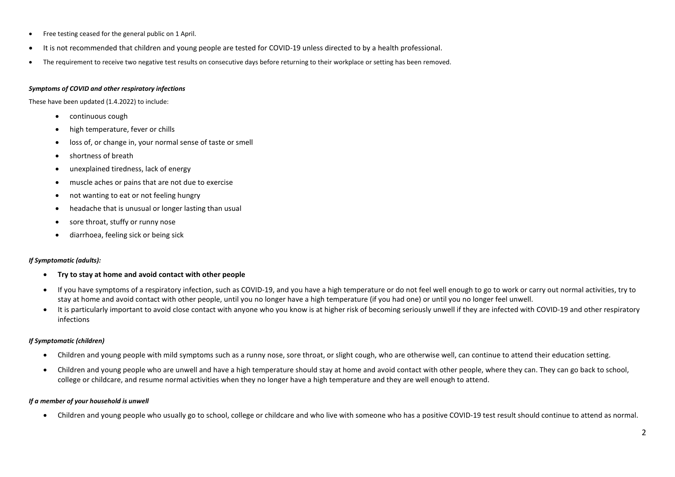- Free testing ceased for the general public on 1 April.
- It is not recommended that children and young people are tested for COVID-19 unless directed to by a health professional.
- The requirement to receive two negative test results on consecutive days before returning to their workplace or setting has been removed.

#### *Symptoms of COVID and other respiratory infections*

These have been updated (1.4.2022) to include:

- continuous cough
- high temperature, fever or chills
- loss of, or change in, your normal sense of taste or smell
- shortness of breath
- unexplained tiredness, lack of energy
- muscle aches or pains that are not due to exercise
- not wanting to eat or not feeling hungry
- headache that is unusual or longer lasting than usual
- sore throat, stuffy or runny nose
- diarrhoea, feeling sick or being sick

#### *If Symptomatic (adults):*

- **Try to stay at home and avoid contact with other people**
- If you have symptoms of a respiratory infection, such as COVID-19, and you have a high temperature or do not feel well enough to go to work or carry out normal activities, try to stay at home and avoid contact with other people, until you no longer have a high temperature (if you had one) or until you no longer feel unwell.
- It is particularly important to avoid close contact with anyone who you know is at higher risk of becoming seriously unwell if they are infected with COVID-19 and other respiratory infections

#### *If Symptomatic (children)*

- Children and young people with mild symptoms such as a runny nose, sore throat, or slight cough, who are otherwise well, can continue to attend their education setting.
- Children and young people who are unwell and have a high temperature should stay at home and avoid contact with other people, where they can. They can go back to school, college or childcare, and resume normal activities when they no longer have a high temperature and they are well enough to attend.

#### *If a member of your household is unwell*

• Children and young people who usually go to school, college or childcare and who live with someone who has a positive COVID-19 test result should continue to attend as normal.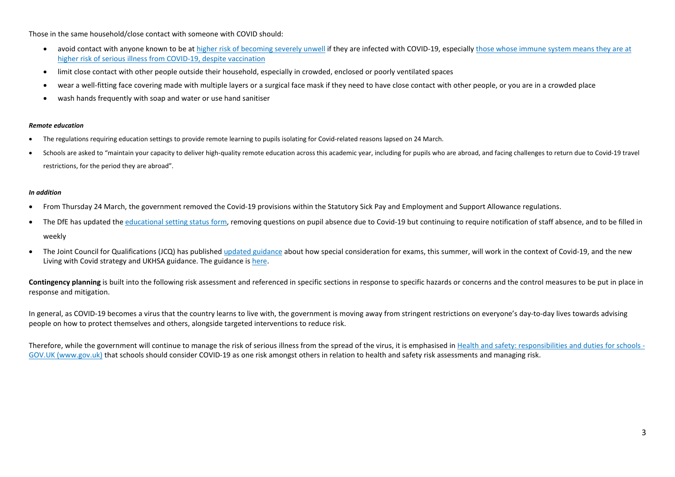Those in the same household/close contact with someone with COVID should:

- avoid contact with anyone known to be at [higher risk of becoming severely unwell](https://www.gov.uk/guidance/people-with-symptoms-of-a-respiratory-infection-including-covid-19#higher-risk) if they are infected with COVID-19, especially those whose immune system means they are at [higher risk of serious illness from COVID-19, despite vaccination](https://www.gov.uk/government/publications/covid-19-guidance-for-people-whose-immune-system-means-they-are-at-higher-risk/covid-19-guidance-for-people-whose-immune-system-means-they-are-at-higher-risk)
- limit close contact with other people outside their household, especially in crowded, enclosed or poorly ventilated spaces
- wear a well-fitting face covering made with multiple layers or a surgical face mask if they need to have close contact with other people, or you are in a crowded place
- wash hands frequently with soap and water or use hand sanitiser

#### *Remote education*

- The regulations requiring education settings to provide remote learning to pupils isolating for Covid-related reasons lapsed on 24 March.
- Schools are asked to "maintain your capacity to deliver high-quality remote education across this academic year, including for pupils who are abroad, and facing challenges to return due to Covid-19 travel restrictions, for the period they are abroad".

#### *In addition*

- From Thursday 24 March, the government removed the Covid-19 provisions within the Statutory Sick Pay and Employment and Support Allowance regulations.
- The DfE has updated the [educational setting status form,](https://gbr01.safelinks.protection.outlook.com/?url=https%3A%2F%2Fascl.us7.list-manage.com%2Ftrack%2Fclick%3Fu%3Ddae6fbf66d6135a8a21b3627d%26id%3D53c91a1181%26e%3Dd65e936850&data=04%7C01%7Chrd%40lancing.org.uk%7Cff7641003c26419a121508da19788a51%7Cbdf724c6e7b747088d8eda2fc93be0ac%7C0%7C0%7C637850303366246456%7CUnknown%7CTWFpbGZsb3d8eyJWIjoiMC4wLjAwMDAiLCJQIjoiV2luMzIiLCJBTiI6Ik1haWwiLCJXVCI6Mn0%3D%7C3000&sdata=YLtGszvurYq6mdw2f8OcjZM59LBEVGj%2FdHcKvdP5x5k%3D&reserved=0) removing questions on pupil absence due to Covid-19 but continuing to require notification of staff absence, and to be filled in weekly
- The Joint Council for Qualifications (JCQ) has published [updated guidance](https://gbr01.safelinks.protection.outlook.com/?url=https%3A%2F%2Fascl.us7.list-manage.com%2Ftrack%2Fclick%3Fu%3Ddae6fbf66d6135a8a21b3627d%26id%3D671305d565%26e%3Dd65e936850&data=04%7C01%7Chrd%40lancing.org.uk%7Cff7641003c26419a121508da19788a51%7Cbdf724c6e7b747088d8eda2fc93be0ac%7C0%7C0%7C637850303366246456%7CUnknown%7CTWFpbGZsb3d8eyJWIjoiMC4wLjAwMDAiLCJQIjoiV2luMzIiLCJBTiI6Ik1haWwiLCJXVCI6Mn0%3D%7C3000&sdata=AoktX0mnqwxQtol%2BxNRK1DAiQZ40Dkn21yIqzAIYJyM%3D&reserved=0) about how special consideration for exams, this summer, will work in the context of Covid-19, and the new Living with Covid strategy and UKHSA guidance. The guidance is [here.](https://gbr01.safelinks.protection.outlook.com/?url=https%3A%2F%2Fascl.us7.list-manage.com%2Ftrack%2Fclick%3Fu%3Ddae6fbf66d6135a8a21b3627d%26id%3D8019f5ae6e%26e%3Dd65e936850&data=04%7C01%7Chrd%40lancing.org.uk%7Cff7641003c26419a121508da19788a51%7Cbdf724c6e7b747088d8eda2fc93be0ac%7C0%7C0%7C637850303366246456%7CUnknown%7CTWFpbGZsb3d8eyJWIjoiMC4wLjAwMDAiLCJQIjoiV2luMzIiLCJBTiI6Ik1haWwiLCJXVCI6Mn0%3D%7C3000&sdata=grKesXrl%2Bw0K7IrYbkVAhLCYaCi5gkqqHOF59KOhJTE%3D&reserved=0)

Contingency planning is built into the following risk assessment and referenced in specific sections in response to specific hazards or concerns and the control measures to be put in place in response and mitigation.

In general, as COVID-19 becomes a virus that the country learns to live with, the government is moving away from stringent restrictions on everyone's day-to-day lives towards advising people on how to protect themselves and others, alongside targeted interventions to reduce risk.

Therefore, while the government will continue to manage the risk of serious illness from the spread of the virus, it is emphasised in Health and safety: responsibilities and duties for schools - GOV.UK (www.gov.uk) that schools should consider COVID-19 as one risk amongst others in relation to health and safety risk assessments and managing risk.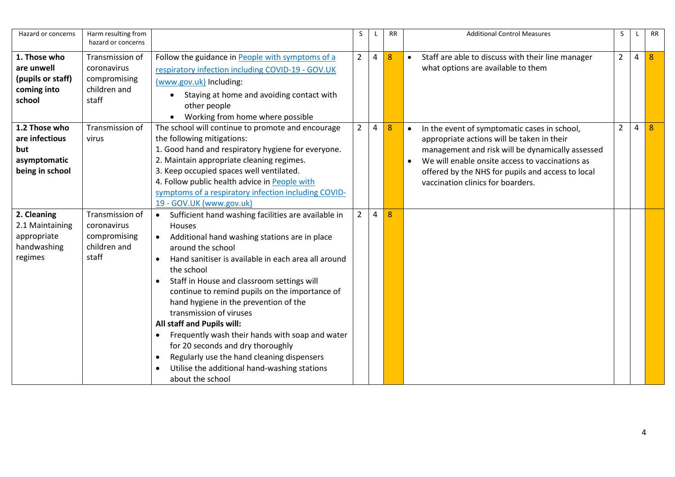| Hazard or concerns                                                        | Harm resulting from<br>hazard or concerns                               |                                                                                                                                                                                                                                                                                                                                                                                                                                                                                                                                                                                                                                                                                                                 | S              |   | <b>RR</b> |           | <b>Additional Control Measures</b>                                                                                                                                                                                                                                                          | S              |   | <b>RR</b> |
|---------------------------------------------------------------------------|-------------------------------------------------------------------------|-----------------------------------------------------------------------------------------------------------------------------------------------------------------------------------------------------------------------------------------------------------------------------------------------------------------------------------------------------------------------------------------------------------------------------------------------------------------------------------------------------------------------------------------------------------------------------------------------------------------------------------------------------------------------------------------------------------------|----------------|---|-----------|-----------|---------------------------------------------------------------------------------------------------------------------------------------------------------------------------------------------------------------------------------------------------------------------------------------------|----------------|---|-----------|
| 1. Those who<br>are unwell<br>(pupils or staff)<br>coming into<br>school  | Transmission of<br>coronavirus<br>compromising<br>children and<br>staff | Follow the guidance in People with symptoms of a<br>respiratory infection including COVID-19 - GOV.UK<br>(www.gov.uk) Including:<br>Staying at home and avoiding contact with<br>other people<br>Working from home where possible                                                                                                                                                                                                                                                                                                                                                                                                                                                                               | $\overline{2}$ | 4 | 8         | $\bullet$ | Staff are able to discuss with their line manager<br>what options are available to them                                                                                                                                                                                                     | $\overline{2}$ | 4 | 8         |
| 1.2 Those who<br>are infectious<br>but<br>asymptomatic<br>being in school | Transmission of<br>virus                                                | The school will continue to promote and encourage<br>the following mitigations:<br>1. Good hand and respiratory hygiene for everyone.<br>2. Maintain appropriate cleaning regimes.<br>3. Keep occupied spaces well ventilated.<br>4. Follow public health advice in People with<br>symptoms of a respiratory infection including COVID-<br>19 - GOV.UK (www.gov.uk)                                                                                                                                                                                                                                                                                                                                             | $\overline{2}$ | 4 | 8         | $\bullet$ | In the event of symptomatic cases in school,<br>appropriate actions will be taken in their<br>management and risk will be dynamically assessed<br>We will enable onsite access to vaccinations as<br>offered by the NHS for pupils and access to local<br>vaccination clinics for boarders. | $\overline{2}$ | 4 |           |
| 2. Cleaning<br>2.1 Maintaining<br>appropriate<br>handwashing<br>regimes   | Transmission of<br>coronavirus<br>compromising<br>children and<br>staff | Sufficient hand washing facilities are available in<br>$\bullet$<br>Houses<br>Additional hand washing stations are in place<br>$\bullet$<br>around the school<br>Hand sanitiser is available in each area all around<br>$\bullet$<br>the school<br>Staff in House and classroom settings will<br>$\bullet$<br>continue to remind pupils on the importance of<br>hand hygiene in the prevention of the<br>transmission of viruses<br>All staff and Pupils will:<br>Frequently wash their hands with soap and water<br>$\bullet$<br>for 20 seconds and dry thoroughly<br>Regularly use the hand cleaning dispensers<br>$\bullet$<br>Utilise the additional hand-washing stations<br>$\bullet$<br>about the school | $\overline{2}$ | 4 | 8         |           |                                                                                                                                                                                                                                                                                             |                |   |           |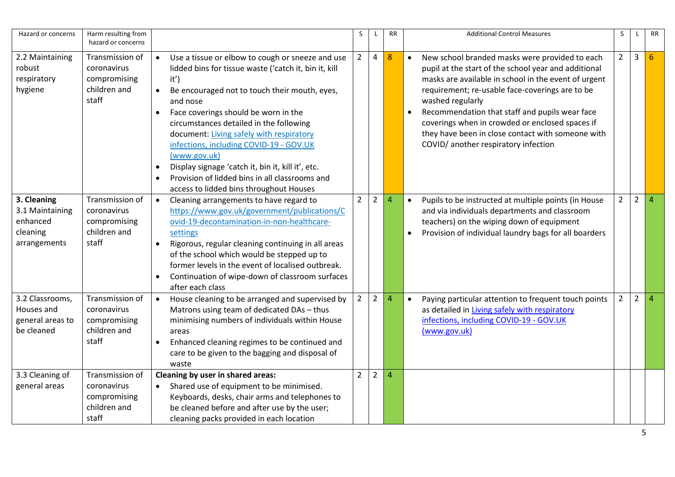| Hazard or concerns                                                     | Harm resulting from<br>hazard or concerns                               |                                                                                                                                                                                                                                                                                                                                                                                                                                                                                                                                                                                | S              | L              | <b>RR</b>      | <b>Additional Control Measures</b>                                                                                                                                                                                                                                                                                                                                                                                                                   | S              | L              | <b>RR</b>              |
|------------------------------------------------------------------------|-------------------------------------------------------------------------|--------------------------------------------------------------------------------------------------------------------------------------------------------------------------------------------------------------------------------------------------------------------------------------------------------------------------------------------------------------------------------------------------------------------------------------------------------------------------------------------------------------------------------------------------------------------------------|----------------|----------------|----------------|------------------------------------------------------------------------------------------------------------------------------------------------------------------------------------------------------------------------------------------------------------------------------------------------------------------------------------------------------------------------------------------------------------------------------------------------------|----------------|----------------|------------------------|
| 2.2 Maintaining<br>robust<br>respiratory<br>hygiene                    | Transmission of<br>coronavirus<br>compromising<br>children and<br>staff | Use a tissue or elbow to cough or sneeze and use<br>$\bullet$<br>lidded bins for tissue waste ('catch it, bin it, kill<br>it')<br>Be encouraged not to touch their mouth, eyes,<br>$\bullet$<br>and nose<br>Face coverings should be worn in the<br>circumstances detailed in the following<br>document: Living safely with respiratory<br>infections, including COVID-19 - GOV.UK<br>(www.gov.uk)<br>Display signage 'catch it, bin it, kill it', etc.<br>$\bullet$<br>Provision of lidded bins in all classrooms and<br>$\bullet$<br>access to lidded bins throughout Houses | $2^{\circ}$    | 4              | 8              | New school branded masks were provided to each<br>$\bullet$<br>pupil at the start of the school year and additional<br>masks are available in school in the event of urgent<br>requirement; re-usable face-coverings are to be<br>washed regularly<br>Recommendation that staff and pupils wear face<br>coverings when in crowded or enclosed spaces if<br>they have been in close contact with someone with<br>COVID/ another respiratory infection | $2^{\circ}$    | $\mathbf{3}$   | 6                      |
| 3. Cleaning<br>3.1 Maintaining<br>enhanced<br>cleaning<br>arrangements | Transmission of<br>coronavirus<br>compromising<br>children and<br>staff | Cleaning arrangements to have regard to<br>$\bullet$<br>https://www.gov.uk/government/publications/C<br>ovid-19-decontamination-in-non-healthcare-<br>settings<br>Rigorous, regular cleaning continuing in all areas<br>$\bullet$<br>of the school which would be stepped up to<br>former levels in the event of localised outbreak.<br>Continuation of wipe-down of classroom surfaces<br>after each class                                                                                                                                                                    | $\overline{2}$ | $\overline{2}$ | $\overline{4}$ | $\bullet$<br>Pupils to be instructed at multiple points (in House<br>and via individuals departments and classroom<br>teachers) on the wiping down of equipment<br>Provision of individual laundry bags for all boarders                                                                                                                                                                                                                             | $\overline{2}$ | $\overline{2}$ | $\boldsymbol{\Lambda}$ |
| 3.2 Classrooms,<br>Houses and<br>general areas to<br>be cleaned        | Transmission of<br>coronavirus<br>compromising<br>children and<br>staff | House cleaning to be arranged and supervised by<br>$\bullet$<br>Matrons using team of dedicated DAs - thus<br>minimising numbers of individuals within House<br>areas<br>Enhanced cleaning regimes to be continued and<br>$\bullet$<br>care to be given to the bagging and disposal of<br>waste                                                                                                                                                                                                                                                                                | $\overline{2}$ | $\overline{2}$ | 4              | Paying particular attention to frequent touch points<br>$\bullet$<br>as detailed in Living safely with respiratory<br>infections, including COVID-19 - GOV.UK<br>(www.gov.uk)                                                                                                                                                                                                                                                                        | $\overline{2}$ | $\overline{2}$ | Δ                      |
| 3.3 Cleaning of<br>general areas                                       | Transmission of<br>coronavirus<br>compromising<br>children and<br>staff | Cleaning by user in shared areas:<br>Shared use of equipment to be minimised.<br>$\bullet$<br>Keyboards, desks, chair arms and telephones to<br>be cleaned before and after use by the user;<br>cleaning packs provided in each location                                                                                                                                                                                                                                                                                                                                       | $\overline{2}$ | $\overline{2}$ | $\overline{4}$ |                                                                                                                                                                                                                                                                                                                                                                                                                                                      |                |                |                        |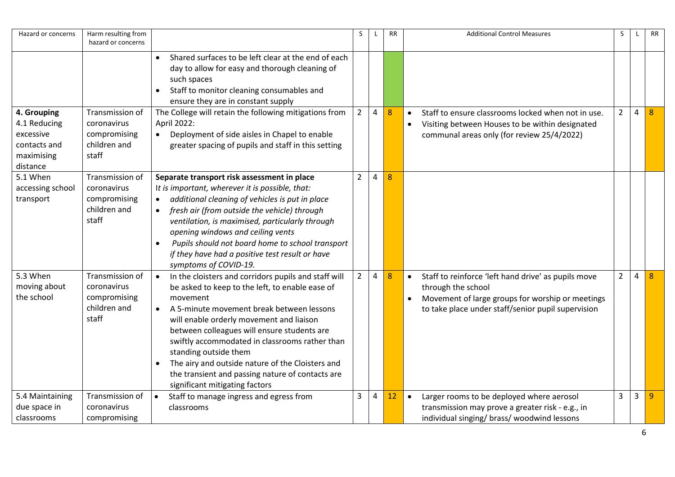| Hazard or concerns                                                                 | Harm resulting from<br>hazard or concerns                               |                                                                                                                                                                                                                                                                                                                                                                                                                                                                                                                         | S              | $\mathbf{I}$ | <b>RR</b> | <b>Additional Control Measures</b>                                                                                                                                                  | S              | $\mathbf{I}$ | <b>RR</b> |
|------------------------------------------------------------------------------------|-------------------------------------------------------------------------|-------------------------------------------------------------------------------------------------------------------------------------------------------------------------------------------------------------------------------------------------------------------------------------------------------------------------------------------------------------------------------------------------------------------------------------------------------------------------------------------------------------------------|----------------|--------------|-----------|-------------------------------------------------------------------------------------------------------------------------------------------------------------------------------------|----------------|--------------|-----------|
|                                                                                    |                                                                         | Shared surfaces to be left clear at the end of each<br>day to allow for easy and thorough cleaning of<br>such spaces<br>Staff to monitor cleaning consumables and<br>ensure they are in constant supply                                                                                                                                                                                                                                                                                                                 |                |              |           |                                                                                                                                                                                     |                |              |           |
| 4. Grouping<br>4.1 Reducing<br>excessive<br>contacts and<br>maximising<br>distance | Transmission of<br>coronavirus<br>compromising<br>children and<br>staff | The College will retain the following mitigations from<br>April 2022:<br>Deployment of side aisles in Chapel to enable<br>$\bullet$<br>greater spacing of pupils and staff in this setting                                                                                                                                                                                                                                                                                                                              | $\overline{2}$ | 4            | 8         | Staff to ensure classrooms locked when not in use.<br>$\bullet$<br>Visiting between Houses to be within designated<br>$\bullet$<br>communal areas only (for review 25/4/2022)       | $\overline{2}$ | 4            | 8         |
| 5.1 When<br>accessing school<br>transport                                          | Transmission of<br>coronavirus<br>compromising<br>children and<br>staff | Separate transport risk assessment in place<br>It is important, wherever it is possible, that:<br>additional cleaning of vehicles is put in place<br>$\bullet$<br>fresh air (from outside the vehicle) through<br>$\bullet$<br>ventilation, is maximised, particularly through<br>opening windows and ceiling vents<br>Pupils should not board home to school transport<br>$\bullet$<br>if they have had a positive test result or have<br>symptoms of COVID-19.                                                        | 2              | 4            | 8         |                                                                                                                                                                                     |                |              |           |
| 5.3 When<br>moving about<br>the school                                             | Transmission of<br>coronavirus<br>compromising<br>children and<br>staff | In the cloisters and corridors pupils and staff will<br>$\bullet$<br>be asked to keep to the left, to enable ease of<br>movement<br>A 5-minute movement break between lessons<br>$\bullet$<br>will enable orderly movement and liaison<br>between colleagues will ensure students are<br>swiftly accommodated in classrooms rather than<br>standing outside them<br>The airy and outside nature of the Cloisters and<br>$\bullet$<br>the transient and passing nature of contacts are<br>significant mitigating factors | $2^{\circ}$    | 4            | 8         | Staff to reinforce 'left hand drive' as pupils move<br>through the school<br>Movement of large groups for worship or meetings<br>to take place under staff/senior pupil supervision | $\overline{2}$ | 4            | 8         |
| 5.4 Maintaining<br>due space in<br>classrooms                                      | Transmission of<br>coronavirus<br>compromising                          | Staff to manage ingress and egress from<br>$\bullet$<br>classrooms                                                                                                                                                                                                                                                                                                                                                                                                                                                      | 3              | 4            | 12        | Larger rooms to be deployed where aerosol<br>$\bullet$<br>transmission may prove a greater risk - e.g., in<br>individual singing/ brass/ woodwind lessons                           | 3              | $\mathbf{3}$ | -9        |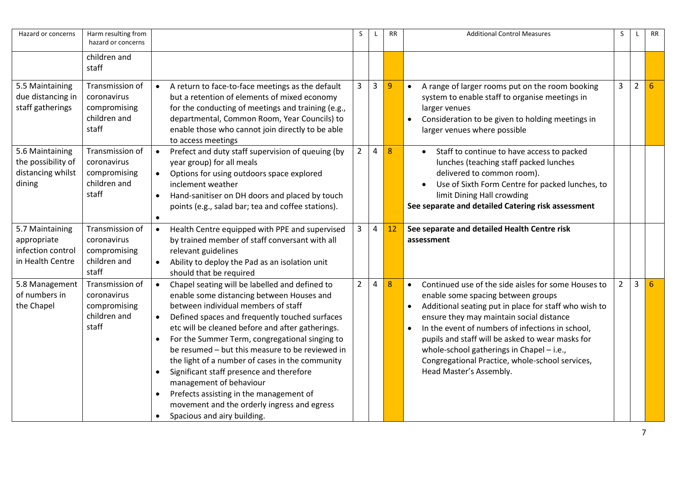| Hazard or concerns                                                      | Harm resulting from<br>hazard or concerns                               |                                                                            |                                                                                                                                                                                                                                                                                                                                                                                                                                                                                                                                                                                                  | S              | L              | <b>RR</b> | <b>Additional Control Measures</b>                                                                                                                                                                                                                                                                                                                                                                                                             | S.             |                | <b>RR</b> |
|-------------------------------------------------------------------------|-------------------------------------------------------------------------|----------------------------------------------------------------------------|--------------------------------------------------------------------------------------------------------------------------------------------------------------------------------------------------------------------------------------------------------------------------------------------------------------------------------------------------------------------------------------------------------------------------------------------------------------------------------------------------------------------------------------------------------------------------------------------------|----------------|----------------|-----------|------------------------------------------------------------------------------------------------------------------------------------------------------------------------------------------------------------------------------------------------------------------------------------------------------------------------------------------------------------------------------------------------------------------------------------------------|----------------|----------------|-----------|
|                                                                         | children and<br>staff                                                   |                                                                            |                                                                                                                                                                                                                                                                                                                                                                                                                                                                                                                                                                                                  |                |                |           |                                                                                                                                                                                                                                                                                                                                                                                                                                                |                |                |           |
| 5.5 Maintaining<br>due distancing in<br>staff gatherings                | Transmission of<br>coronavirus<br>compromising<br>children and<br>staff | $\bullet$                                                                  | A return to face-to-face meetings as the default<br>but a retention of elements of mixed economy<br>for the conducting of meetings and training (e.g.,<br>departmental, Common Room, Year Councils) to<br>enable those who cannot join directly to be able<br>to access meetings                                                                                                                                                                                                                                                                                                                 | 3              | $\mathbf{3}$   | 9         | A range of larger rooms put on the room booking<br>$\bullet$<br>system to enable staff to organise meetings in<br>larger venues<br>Consideration to be given to holding meetings in<br>larger venues where possible                                                                                                                                                                                                                            | 3              | $\overline{2}$ | 6         |
| 5.6 Maintaining<br>the possibility of<br>distancing whilst<br>dining    | Transmission of<br>coronavirus<br>compromising<br>children and<br>staff | $\bullet$<br>$\bullet$<br>$\bullet$<br>$\bullet$                           | Prefect and duty staff supervision of queuing (by<br>year group) for all meals<br>Options for using outdoors space explored<br>inclement weather<br>Hand-sanitiser on DH doors and placed by touch<br>points (e.g., salad bar; tea and coffee stations).                                                                                                                                                                                                                                                                                                                                         | $\overline{2}$ | $\overline{4}$ | 8         | Staff to continue to have access to packed<br>lunches (teaching staff packed lunches<br>delivered to common room).<br>Use of Sixth Form Centre for packed lunches, to<br>limit Dining Hall crowding<br>See separate and detailed Catering risk assessment                                                                                                                                                                                      |                |                |           |
| 5.7 Maintaining<br>appropriate<br>infection control<br>in Health Centre | Transmission of<br>coronavirus<br>compromising<br>children and<br>staff | $\bullet$<br>$\bullet$                                                     | Health Centre equipped with PPE and supervised<br>by trained member of staff conversant with all<br>relevant guidelines<br>Ability to deploy the Pad as an isolation unit<br>should that be required                                                                                                                                                                                                                                                                                                                                                                                             | 3              | 4              | 12        | See separate and detailed Health Centre risk<br>assessment                                                                                                                                                                                                                                                                                                                                                                                     |                |                |           |
| 5.8 Management<br>of numbers in<br>the Chapel                           | Transmission of<br>coronavirus<br>compromising<br>children and<br>staff | $\bullet$<br>$\bullet$<br>$\bullet$<br>$\bullet$<br>$\bullet$<br>$\bullet$ | Chapel seating will be labelled and defined to<br>enable some distancing between Houses and<br>between individual members of staff<br>Defined spaces and frequently touched surfaces<br>etc will be cleaned before and after gatherings.<br>For the Summer Term, congregational singing to<br>be resumed - but this measure to be reviewed in<br>the light of a number of cases in the community<br>Significant staff presence and therefore<br>management of behaviour<br>Prefects assisting in the management of<br>movement and the orderly ingress and egress<br>Spacious and airy building. | $\overline{2}$ | 4              | 8         | Continued use of the side aisles for some Houses to<br>$\bullet$<br>enable some spacing between groups<br>Additional seating put in place for staff who wish to<br>ensure they may maintain social distance<br>In the event of numbers of infections in school,<br>pupils and staff will be asked to wear masks for<br>whole-school gatherings in Chapel - i.e.,<br>Congregational Practice, whole-school services,<br>Head Master's Assembly. | $\overline{2}$ | 3              | 6         |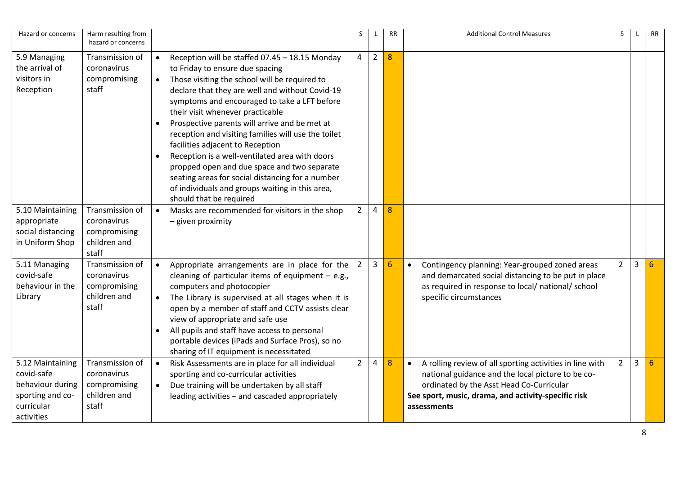| Hazard or concerns                                                                                 | Harm resulting from<br>hazard or concerns                               |                                                  |                                                                                                                                                                                                                                                                                                                                                                                                                                                                                                                                                                                                                                                          | S.             |              | <b>RR</b>        | <b>Additional Control Measures</b>                                                                                                                                                                                                           | S.             |                | RR |
|----------------------------------------------------------------------------------------------------|-------------------------------------------------------------------------|--------------------------------------------------|----------------------------------------------------------------------------------------------------------------------------------------------------------------------------------------------------------------------------------------------------------------------------------------------------------------------------------------------------------------------------------------------------------------------------------------------------------------------------------------------------------------------------------------------------------------------------------------------------------------------------------------------------------|----------------|--------------|------------------|----------------------------------------------------------------------------------------------------------------------------------------------------------------------------------------------------------------------------------------------|----------------|----------------|----|
| 5.9 Managing<br>the arrival of<br>visitors in<br>Reception                                         | Transmission of<br>coronavirus<br>compromising<br>staff                 | $\bullet$<br>$\bullet$<br>$\bullet$<br>$\bullet$ | Reception will be staffed 07.45 - 18.15 Monday<br>to Friday to ensure due spacing<br>Those visiting the school will be required to<br>declare that they are well and without Covid-19<br>symptoms and encouraged to take a LFT before<br>their visit whenever practicable<br>Prospective parents will arrive and be met at<br>reception and visiting families will use the toilet<br>facilities adjacent to Reception<br>Reception is a well-ventilated area with doors<br>propped open and due space and two separate<br>seating areas for social distancing for a number<br>of individuals and groups waiting in this area,<br>should that be required | $\overline{4}$ | $2^{\circ}$  | 8                |                                                                                                                                                                                                                                              |                |                |    |
| 5.10 Maintaining<br>appropriate<br>social distancing<br>in Uniform Shop                            | Transmission of<br>coronavirus<br>compromising<br>children and<br>staff | $\bullet$                                        | Masks are recommended for visitors in the shop<br>- given proximity                                                                                                                                                                                                                                                                                                                                                                                                                                                                                                                                                                                      | $\overline{2}$ | 4            | 8                |                                                                                                                                                                                                                                              |                |                |    |
| 5.11 Managing<br>covid-safe<br>behaviour in the<br>Library                                         | Transmission of<br>coronavirus<br>compromising<br>children and<br>staff | $\bullet$<br>$\bullet$<br>$\bullet$              | Appropriate arrangements are in place for the<br>cleaning of particular items of equipment $-$ e.g.,<br>computers and photocopier<br>The Library is supervised at all stages when it is<br>open by a member of staff and CCTV assists clear<br>view of appropriate and safe use<br>All pupils and staff have access to personal<br>portable devices (iPads and Surface Pros), so no<br>sharing of IT equipment is necessitated                                                                                                                                                                                                                           | 2              | $\mathbf{3}$ | 6                | Contingency planning: Year-grouped zoned areas<br>$\bullet$<br>and demarcated social distancing to be put in place<br>as required in response to local/ national/ school<br>specific circumstances                                           | $\overline{2}$ | 3              | 6  |
| 5.12 Maintaining<br>covid-safe<br>behaviour during<br>sporting and co-<br>curricular<br>activities | Transmission of<br>coronavirus<br>compromising<br>children and<br>staff | $\bullet$<br>$\bullet$                           | Risk Assessments are in place for all individual<br>sporting and co-curricular activities<br>Due training will be undertaken by all staff<br>leading activities - and cascaded appropriately                                                                                                                                                                                                                                                                                                                                                                                                                                                             | $\overline{2}$ | 4            | $\boldsymbol{8}$ | A rolling review of all sporting activities in line with<br>$\bullet$<br>national guidance and the local picture to be co-<br>ordinated by the Asst Head Co-Curricular<br>See sport, music, drama, and activity-specific risk<br>assessments | $\overline{2}$ | $\overline{3}$ | 6  |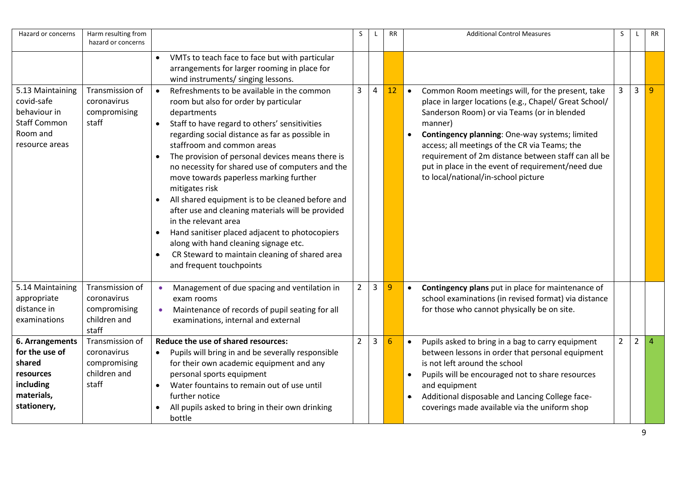| Hazard or concerns                                                                                  | Harm resulting from                                                     |                                                                                                                                                                                                                                                                                                                                                                                                                                                                                                                                                                                    | S              |                | <b>RR</b>       | <b>Additional Control Measures</b>                                                                                                                                                                                                                                                                                                                                                                                                                   | S              |                | <b>RR</b> |
|-----------------------------------------------------------------------------------------------------|-------------------------------------------------------------------------|------------------------------------------------------------------------------------------------------------------------------------------------------------------------------------------------------------------------------------------------------------------------------------------------------------------------------------------------------------------------------------------------------------------------------------------------------------------------------------------------------------------------------------------------------------------------------------|----------------|----------------|-----------------|------------------------------------------------------------------------------------------------------------------------------------------------------------------------------------------------------------------------------------------------------------------------------------------------------------------------------------------------------------------------------------------------------------------------------------------------------|----------------|----------------|-----------|
|                                                                                                     | hazard or concerns                                                      |                                                                                                                                                                                                                                                                                                                                                                                                                                                                                                                                                                                    |                |                |                 |                                                                                                                                                                                                                                                                                                                                                                                                                                                      |                |                |           |
| 5.13 Maintaining<br>covid-safe<br>behaviour in<br><b>Staff Common</b><br>Room and<br>resource areas | Transmission of<br>coronavirus<br>compromising<br>staff                 | VMTs to teach face to face but with particular<br>$\bullet$<br>arrangements for larger rooming in place for<br>wind instruments/ singing lessons.<br>Refreshments to be available in the common<br>$\bullet$<br>room but also for order by particular<br>departments<br>Staff to have regard to others' sensitivities<br>$\bullet$<br>regarding social distance as far as possible in<br>staffroom and common areas<br>The provision of personal devices means there is<br>$\bullet$<br>no necessity for shared use of computers and the<br>move towards paperless marking further | $\overline{3}$ | $\overline{4}$ | 12              | Common Room meetings will, for the present, take<br>$\bullet$<br>place in larger locations (e.g., Chapel/ Great School/<br>Sanderson Room) or via Teams (or in blended<br>manner)<br>Contingency planning: One-way systems; limited<br>$\bullet$<br>access; all meetings of the CR via Teams; the<br>requirement of 2m distance between staff can all be<br>put in place in the event of requirement/need due<br>to local/national/in-school picture | 3              | $\overline{3}$ | -9        |
|                                                                                                     |                                                                         | mitigates risk<br>All shared equipment is to be cleaned before and<br>after use and cleaning materials will be provided<br>in the relevant area<br>Hand sanitiser placed adjacent to photocopiers<br>$\bullet$<br>along with hand cleaning signage etc.<br>CR Steward to maintain cleaning of shared area<br>$\bullet$<br>and frequent touchpoints                                                                                                                                                                                                                                 |                |                |                 |                                                                                                                                                                                                                                                                                                                                                                                                                                                      |                |                |           |
| 5.14 Maintaining<br>appropriate<br>distance in<br>examinations                                      | Transmission of<br>coronavirus<br>compromising<br>children and<br>staff | Management of due spacing and ventilation in<br>exam rooms<br>Maintenance of records of pupil seating for all<br>$\bullet$<br>examinations, internal and external                                                                                                                                                                                                                                                                                                                                                                                                                  | $\overline{2}$ | $\mathbf{3}$   | 9               | Contingency plans put in place for maintenance of<br>school examinations (in revised format) via distance<br>for those who cannot physically be on site.                                                                                                                                                                                                                                                                                             |                |                |           |
| 6. Arrangements<br>for the use of<br>shared<br>resources<br>including<br>materials,<br>stationery,  | Transmission of<br>coronavirus<br>compromising<br>children and<br>staff | Reduce the use of shared resources:<br>Pupils will bring in and be severally responsible<br>for their own academic equipment and any<br>personal sports equipment<br>Water fountains to remain out of use until<br>$\bullet$<br>further notice<br>All pupils asked to bring in their own drinking<br>$\bullet$<br>bottle                                                                                                                                                                                                                                                           | $\overline{2}$ | 3              | $6\phantom{1}6$ | Pupils asked to bring in a bag to carry equipment<br>$\bullet$<br>between lessons in order that personal equipment<br>is not left around the school<br>Pupils will be encouraged not to share resources<br>$\bullet$<br>and equipment<br>Additional disposable and Lancing College face-<br>$\bullet$<br>coverings made available via the uniform shop                                                                                               | $\overline{2}$ | $\overline{2}$ | $\Delta$  |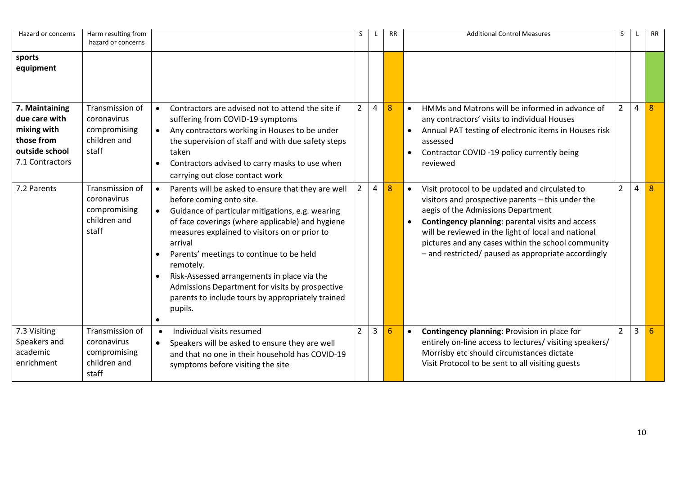| Hazard or concerns                                                                                | Harm resulting from<br>hazard or concerns                               |                                                                                                                                                                                                                                                                                                                                                                                                                                                                                                         | S.                       |   | <b>RR</b> | <b>Additional Control Measures</b>                                                                                                                                                                                                                                                                                                                                             | S              |   | <b>RR</b> |
|---------------------------------------------------------------------------------------------------|-------------------------------------------------------------------------|---------------------------------------------------------------------------------------------------------------------------------------------------------------------------------------------------------------------------------------------------------------------------------------------------------------------------------------------------------------------------------------------------------------------------------------------------------------------------------------------------------|--------------------------|---|-----------|--------------------------------------------------------------------------------------------------------------------------------------------------------------------------------------------------------------------------------------------------------------------------------------------------------------------------------------------------------------------------------|----------------|---|-----------|
| sports<br>equipment                                                                               |                                                                         |                                                                                                                                                                                                                                                                                                                                                                                                                                                                                                         |                          |   |           |                                                                                                                                                                                                                                                                                                                                                                                |                |   |           |
| 7. Maintaining<br>due care with<br>mixing with<br>those from<br>outside school<br>7.1 Contractors | Transmission of<br>coronavirus<br>compromising<br>children and<br>staff | Contractors are advised not to attend the site if<br>suffering from COVID-19 symptoms<br>Any contractors working in Houses to be under<br>$\bullet$<br>the supervision of staff and with due safety steps<br>taken<br>Contractors advised to carry masks to use when<br>carrying out close contact work                                                                                                                                                                                                 | $\overline{2}$           | 4 | 8         | HMMs and Matrons will be informed in advance of<br>any contractors' visits to individual Houses<br>Annual PAT testing of electronic items in Houses risk<br>assessed<br>Contractor COVID -19 policy currently being<br>$\bullet$<br>reviewed                                                                                                                                   | $2^{\circ}$    | 4 | 8         |
| 7.2 Parents                                                                                       | Transmission of<br>coronavirus<br>compromising<br>children and<br>staff | Parents will be asked to ensure that they are well<br>before coming onto site.<br>Guidance of particular mitigations, e.g. wearing<br>$\bullet$<br>of face coverings (where applicable) and hygiene<br>measures explained to visitors on or prior to<br>arrival<br>Parents' meetings to continue to be held<br>remotely.<br>Risk-Assessed arrangements in place via the<br>$\bullet$<br>Admissions Department for visits by prospective<br>parents to include tours by appropriately trained<br>pupils. | $\overline{2}$           | 4 | 8         | Visit protocol to be updated and circulated to<br>$\bullet$<br>visitors and prospective parents - this under the<br>aegis of the Admissions Department<br>Contingency planning: parental visits and access<br>will be reviewed in the light of local and national<br>pictures and any cases within the school community<br>- and restricted/ paused as appropriate accordingly | $2^{\circ}$    | 4 | 8         |
| 7.3 Visiting<br>Speakers and<br>academic<br>enrichment                                            | Transmission of<br>coronavirus<br>compromising<br>children and<br>staff | Individual visits resumed<br>$\bullet$<br>Speakers will be asked to ensure they are well<br>$\bullet$<br>and that no one in their household has COVID-19<br>symptoms before visiting the site                                                                                                                                                                                                                                                                                                           | $\overline{\phantom{a}}$ | 3 | 6         | Contingency planning: Provision in place for<br>$\bullet$<br>entirely on-line access to lectures/ visiting speakers/<br>Morrisby etc should circumstances dictate<br>Visit Protocol to be sent to all visiting guests                                                                                                                                                          | $\overline{2}$ | 3 | 6         |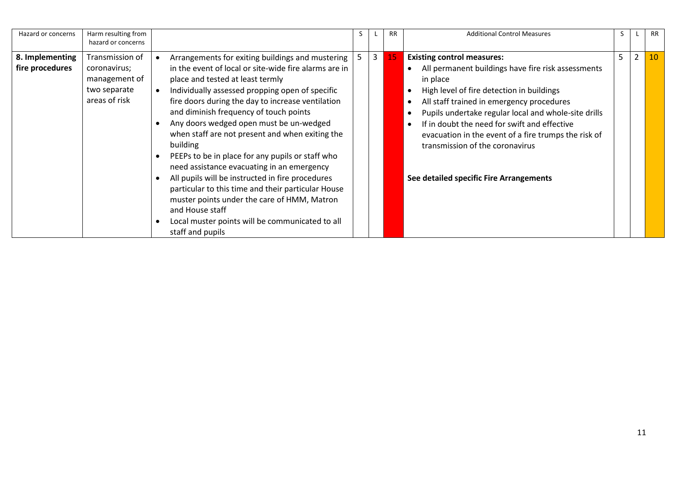| Hazard or concerns                 | Harm resulting from<br>hazard or concerns                                         |           |                                                                                                                                                                                                                                                                                                                                                                                                                                                                                                                                                                                                                                                                                                                                                                  |   | <b>RR</b> | <b>Additional Control Measures</b>                                                                                                                                                                                                                                                                                                                                                                                                          |   |                | <b>RR</b> |
|------------------------------------|-----------------------------------------------------------------------------------|-----------|------------------------------------------------------------------------------------------------------------------------------------------------------------------------------------------------------------------------------------------------------------------------------------------------------------------------------------------------------------------------------------------------------------------------------------------------------------------------------------------------------------------------------------------------------------------------------------------------------------------------------------------------------------------------------------------------------------------------------------------------------------------|---|-----------|---------------------------------------------------------------------------------------------------------------------------------------------------------------------------------------------------------------------------------------------------------------------------------------------------------------------------------------------------------------------------------------------------------------------------------------------|---|----------------|-----------|
| 8. Implementing<br>fire procedures | Transmission of<br>coronavirus;<br>management of<br>two separate<br>areas of risk | $\bullet$ | Arrangements for exiting buildings and mustering  <br>in the event of local or site-wide fire alarms are in<br>place and tested at least termly<br>Individually assessed propping open of specific<br>fire doors during the day to increase ventilation<br>and diminish frequency of touch points<br>Any doors wedged open must be un-wedged<br>when staff are not present and when exiting the<br>building<br>PEEPs to be in place for any pupils or staff who<br>need assistance evacuating in an emergency<br>All pupils will be instructed in fire procedures<br>particular to this time and their particular House<br>muster points under the care of HMM, Matron<br>and House staff<br>Local muster points will be communicated to all<br>staff and pupils | 3 | 15        | <b>Existing control measures:</b><br>All permanent buildings have fire risk assessments<br>in place<br>High level of fire detection in buildings<br>All staff trained in emergency procedures<br>Pupils undertake regular local and whole-site drills<br>If in doubt the need for swift and effective<br>evacuation in the event of a fire trumps the risk of<br>transmission of the coronavirus<br>See detailed specific Fire Arrangements | 5 | $\overline{2}$ | 10        |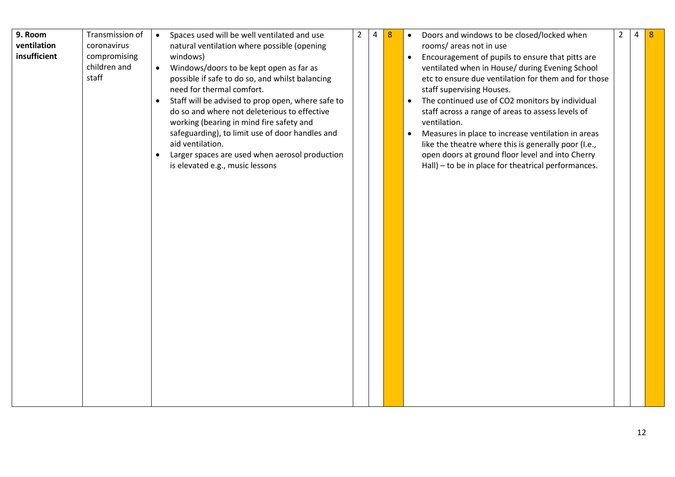| 9. Room<br>ventilation<br>insufficient | Transmission of<br>coronavirus<br>compromising<br>children and<br>staff | Spaces used will be well ventilated and use<br>$\bullet$<br>natural ventilation where possible (opening<br>windows)<br>Windows/doors to be kept open as far as<br>$\bullet$<br>possible if safe to do so, and whilst balancing<br>need for thermal comfort.<br>Staff will be advised to prop open, where safe to<br>do so and where not deleterious to effective<br>working (bearing in mind fire safety and<br>safeguarding), to limit use of door handles and<br>aid ventilation.<br>Larger spaces are used when aerosol production<br>$\bullet$<br>is elevated e.g., music lessons | $2^{\circ}$ | 4 | 8 | Doors and windows to be closed/locked when<br>$\bullet$<br>rooms/ areas not in use<br>Encouragement of pupils to ensure that pitts are<br>$\bullet$<br>ventilated when in House/ during Evening School<br>etc to ensure due ventilation for them and for those<br>staff supervising Houses.<br>The continued use of CO2 monitors by individual<br>$\bullet$<br>staff across a range of areas to assess levels of<br>ventilation.<br>Measures in place to increase ventilation in areas<br>like the theatre where this is generally poor (I.e.,<br>open doors at ground floor level and into Cherry<br>Hall) - to be in place for theatrical performances. | $\overline{2}$ | 4 | -8 |
|----------------------------------------|-------------------------------------------------------------------------|---------------------------------------------------------------------------------------------------------------------------------------------------------------------------------------------------------------------------------------------------------------------------------------------------------------------------------------------------------------------------------------------------------------------------------------------------------------------------------------------------------------------------------------------------------------------------------------|-------------|---|---|-----------------------------------------------------------------------------------------------------------------------------------------------------------------------------------------------------------------------------------------------------------------------------------------------------------------------------------------------------------------------------------------------------------------------------------------------------------------------------------------------------------------------------------------------------------------------------------------------------------------------------------------------------------|----------------|---|----|
|----------------------------------------|-------------------------------------------------------------------------|---------------------------------------------------------------------------------------------------------------------------------------------------------------------------------------------------------------------------------------------------------------------------------------------------------------------------------------------------------------------------------------------------------------------------------------------------------------------------------------------------------------------------------------------------------------------------------------|-------------|---|---|-----------------------------------------------------------------------------------------------------------------------------------------------------------------------------------------------------------------------------------------------------------------------------------------------------------------------------------------------------------------------------------------------------------------------------------------------------------------------------------------------------------------------------------------------------------------------------------------------------------------------------------------------------------|----------------|---|----|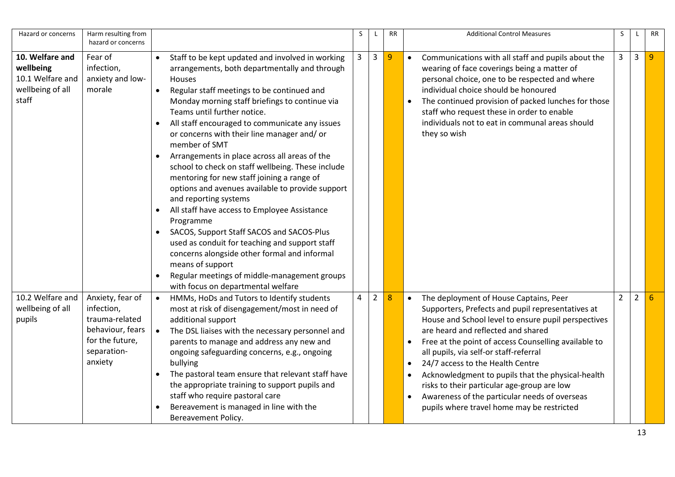| Hazard or concerns                                                            | Harm resulting from<br>hazard or concerns                                                                         |                        |                                                                                                                                                                                                                                                                                                                                                                                                                                                                                                                                                                                                                                                                                                                                                                                                                                                                                                                           | S | L              | <b>RR</b>      |           | <b>Additional Control Measures</b>                                                                                                                                                                                                                                                                                                                                                                                                                                                                                                | S              | L.           | <b>RR</b> |
|-------------------------------------------------------------------------------|-------------------------------------------------------------------------------------------------------------------|------------------------|---------------------------------------------------------------------------------------------------------------------------------------------------------------------------------------------------------------------------------------------------------------------------------------------------------------------------------------------------------------------------------------------------------------------------------------------------------------------------------------------------------------------------------------------------------------------------------------------------------------------------------------------------------------------------------------------------------------------------------------------------------------------------------------------------------------------------------------------------------------------------------------------------------------------------|---|----------------|----------------|-----------|-----------------------------------------------------------------------------------------------------------------------------------------------------------------------------------------------------------------------------------------------------------------------------------------------------------------------------------------------------------------------------------------------------------------------------------------------------------------------------------------------------------------------------------|----------------|--------------|-----------|
| 10. Welfare and<br>wellbeing<br>10.1 Welfare and<br>wellbeing of all<br>staff | Fear of<br>infection,<br>anxiety and low-<br>morale                                                               | $\bullet$              | Staff to be kept updated and involved in working<br>arrangements, both departmentally and through<br><b>Houses</b><br>Regular staff meetings to be continued and<br>Monday morning staff briefings to continue via<br>Teams until further notice.<br>All staff encouraged to communicate any issues<br>or concerns with their line manager and/or<br>member of SMT<br>Arrangements in place across all areas of the<br>school to check on staff wellbeing. These include<br>mentoring for new staff joining a range of<br>options and avenues available to provide support<br>and reporting systems<br>All staff have access to Employee Assistance<br>Programme<br>SACOS, Support Staff SACOS and SACOS-Plus<br>used as conduit for teaching and support staff<br>concerns alongside other formal and informal<br>means of support<br>Regular meetings of middle-management groups<br>with focus on departmental welfare | 3 | 3              | $\overline{9}$ | $\bullet$ | Communications with all staff and pupils about the<br>wearing of face coverings being a matter of<br>personal choice, one to be respected and where<br>individual choice should be honoured<br>The continued provision of packed lunches for those<br>staff who request these in order to enable<br>individuals not to eat in communal areas should<br>they so wish                                                                                                                                                               | $\mathbf{3}$   | $\mathbf{3}$ | 9         |
| 10.2 Welfare and<br>wellbeing of all<br>pupils                                | Anxiety, fear of<br>infection,<br>trauma-related<br>behaviour, fears<br>for the future,<br>separation-<br>anxiety | $\bullet$<br>$\bullet$ | HMMs, HoDs and Tutors to Identify students<br>most at risk of disengagement/most in need of<br>additional support<br>The DSL liaises with the necessary personnel and<br>parents to manage and address any new and<br>ongoing safeguarding concerns, e.g., ongoing<br>bullying<br>The pastoral team ensure that relevant staff have<br>the appropriate training to support pupils and<br>staff who require pastoral care<br>Bereavement is managed in line with the<br>Bereavement Policy.                                                                                                                                                                                                                                                                                                                                                                                                                                | 4 | $\overline{2}$ | 8              | $\bullet$ | The deployment of House Captains, Peer<br>Supporters, Prefects and pupil representatives at<br>House and School level to ensure pupil perspectives<br>are heard and reflected and shared<br>Free at the point of access Counselling available to<br>all pupils, via self-or staff-referral<br>24/7 access to the Health Centre<br>Acknowledgment to pupils that the physical-health<br>risks to their particular age-group are low<br>Awareness of the particular needs of overseas<br>pupils where travel home may be restricted | $\overline{2}$ | $2^{\circ}$  | 6         |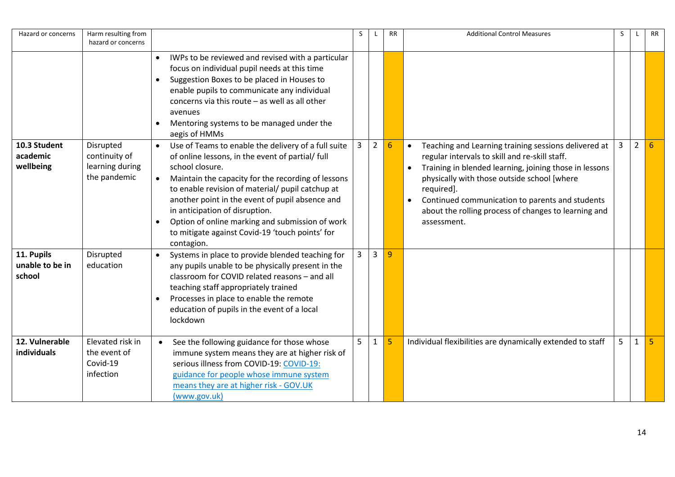| Hazard or concerns                      | Harm resulting from<br>hazard or concerns                     |                                                                                                                                                                                                                                                                                                                                                                                                                                                                                      | S              | L              | <b>RR</b>       | <b>Additional Control Measures</b>                                                                                                                                                                                                                                                                                                                                   | S | L              | <b>RR</b> |
|-----------------------------------------|---------------------------------------------------------------|--------------------------------------------------------------------------------------------------------------------------------------------------------------------------------------------------------------------------------------------------------------------------------------------------------------------------------------------------------------------------------------------------------------------------------------------------------------------------------------|----------------|----------------|-----------------|----------------------------------------------------------------------------------------------------------------------------------------------------------------------------------------------------------------------------------------------------------------------------------------------------------------------------------------------------------------------|---|----------------|-----------|
|                                         |                                                               | IWPs to be reviewed and revised with a particular<br>focus on individual pupil needs at this time<br>Suggestion Boxes to be placed in Houses to<br>$\bullet$<br>enable pupils to communicate any individual<br>concerns via this route $-$ as well as all other<br>avenues<br>Mentoring systems to be managed under the<br>$\bullet$<br>aegis of HMMs                                                                                                                                |                |                |                 |                                                                                                                                                                                                                                                                                                                                                                      |   |                |           |
| 10.3 Student<br>academic<br>wellbeing   | Disrupted<br>continuity of<br>learning during<br>the pandemic | Use of Teams to enable the delivery of a full suite<br>$\bullet$<br>of online lessons, in the event of partial/ full<br>school closure.<br>Maintain the capacity for the recording of lessons<br>$\bullet$<br>to enable revision of material/ pupil catchup at<br>another point in the event of pupil absence and<br>in anticipation of disruption.<br>Option of online marking and submission of work<br>$\bullet$<br>to mitigate against Covid-19 'touch points' for<br>contagion. | $\overline{3}$ | $\overline{2}$ | $6\phantom{1}6$ | Teaching and Learning training sessions delivered at<br>$\bullet$<br>regular intervals to skill and re-skill staff.<br>Training in blended learning, joining those in lessons<br>physically with those outside school [where<br>required].<br>Continued communication to parents and students<br>about the rolling process of changes to learning and<br>assessment. | 3 | $\overline{2}$ | 6         |
| 11. Pupils<br>unable to be in<br>school | Disrupted<br>education                                        | Systems in place to provide blended teaching for<br>$\bullet$<br>any pupils unable to be physically present in the<br>classroom for COVID related reasons - and all<br>teaching staff appropriately trained<br>Processes in place to enable the remote<br>$\bullet$<br>education of pupils in the event of a local<br>lockdown                                                                                                                                                       | 3              | $\overline{3}$ | 9               |                                                                                                                                                                                                                                                                                                                                                                      |   |                |           |
| 12. Vulnerable<br>individuals           | Elevated risk in<br>the event of<br>Covid-19<br>infection     | See the following guidance for those whose<br>$\bullet$<br>immune system means they are at higher risk of<br>serious illness from COVID-19: COVID-19:<br>guidance for people whose immune system<br>means they are at higher risk - GOV.UK<br>(www.gov.uk)                                                                                                                                                                                                                           | 5              | $\mathbf{1}$   | 5               | Individual flexibilities are dynamically extended to staff                                                                                                                                                                                                                                                                                                           | 5 | $\mathbf{1}$   |           |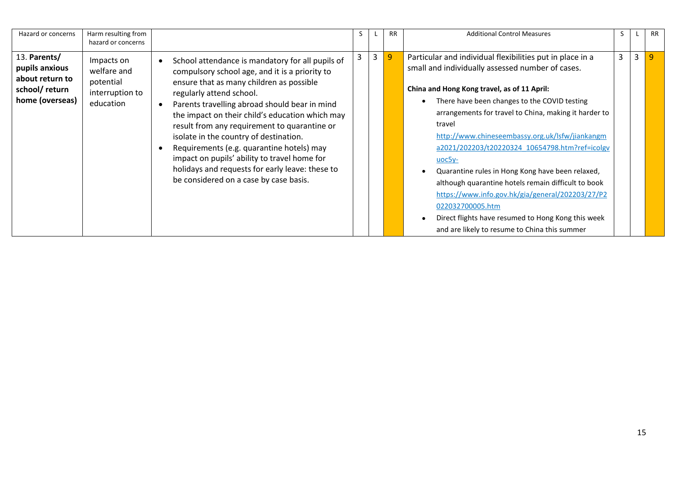| Hazard or concerns                                                                    | Harm resulting from<br>hazard or concerns                              |                                                                                                                                                                                                                                                                                                                                                                                                                                                                                                                                                                    | S. |   |   | <b>RR</b> | <b>Additional Control Measures</b>                                                                                                                                                                                                                                                                                                                                                                                                                                                                                                                                                                                                                                                        | S.             |   | <b>RR</b> |
|---------------------------------------------------------------------------------------|------------------------------------------------------------------------|--------------------------------------------------------------------------------------------------------------------------------------------------------------------------------------------------------------------------------------------------------------------------------------------------------------------------------------------------------------------------------------------------------------------------------------------------------------------------------------------------------------------------------------------------------------------|----|---|---|-----------|-------------------------------------------------------------------------------------------------------------------------------------------------------------------------------------------------------------------------------------------------------------------------------------------------------------------------------------------------------------------------------------------------------------------------------------------------------------------------------------------------------------------------------------------------------------------------------------------------------------------------------------------------------------------------------------------|----------------|---|-----------|
| 13. Parents/<br>pupils anxious<br>about return to<br>school/return<br>home (overseas) | Impacts on<br>welfare and<br>potential<br>interruption to<br>education | School attendance is mandatory for all pupils of<br>compulsory school age, and it is a priority to<br>ensure that as many children as possible<br>regularly attend school.<br>Parents travelling abroad should bear in mind<br>the impact on their child's education which may<br>result from any requirement to quarantine or<br>isolate in the country of destination.<br>Requirements (e.g. quarantine hotels) may<br>impact on pupils' ability to travel home for<br>holidays and requests for early leave: these to<br>be considered on a case by case basis. | 3  | 3 | 9 |           | Particular and individual flexibilities put in place in a<br>small and individually assessed number of cases.<br>China and Hong Kong travel, as of 11 April:<br>There have been changes to the COVID testing<br>arrangements for travel to China, making it harder to<br>travel<br>http://www.chineseembassy.org.uk/lsfw/jiankangm<br>a2021/202203/t20220324 10654798.htm?ref=icolgv<br>$uc5y-$<br>Quarantine rules in Hong Kong have been relaxed,<br>although quarantine hotels remain difficult to book<br>https://www.info.gov.hk/gia/general/202203/27/P2<br>022032700005.htm<br>Direct flights have resumed to Hong Kong this week<br>and are likely to resume to China this summer | $\overline{3}$ | 3 | -9        |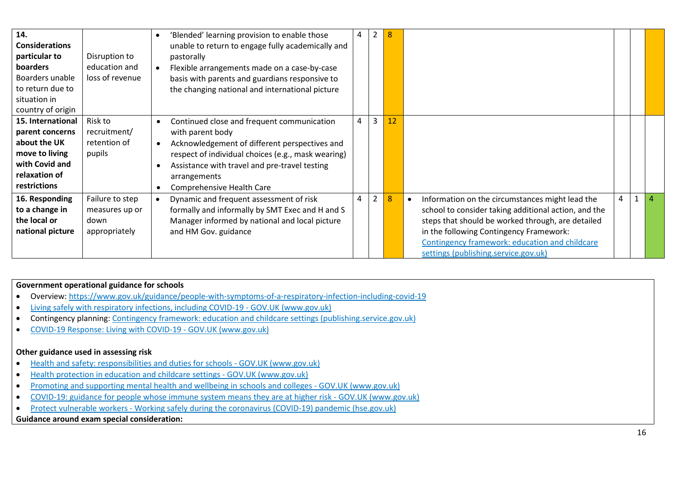| 14.<br><b>Considerations</b><br>particular to<br>boarders<br>Boarders unable<br>to return due to<br>situation in<br>country of origin | Disruption to<br>education and<br>loss of revenue          | $\bullet$ | 'Blended' learning provision to enable those<br>unable to return to engage fully academically and<br>pastorally<br>Flexible arrangements made on a case-by-case<br>basis with parents and guardians responsive to<br>the changing national and international picture | 4 | 2              | 8  |                                                                                                                                                                                                                                                                                                   |   |  |
|---------------------------------------------------------------------------------------------------------------------------------------|------------------------------------------------------------|-----------|----------------------------------------------------------------------------------------------------------------------------------------------------------------------------------------------------------------------------------------------------------------------|---|----------------|----|---------------------------------------------------------------------------------------------------------------------------------------------------------------------------------------------------------------------------------------------------------------------------------------------------|---|--|
| 15. International<br>parent concerns<br>about the UK<br>move to living<br>with Covid and<br>relaxation of<br>restrictions             | Risk to<br>recruitment/<br>retention of<br>pupils          |           | Continued close and frequent communication<br>with parent body<br>Acknowledgement of different perspectives and<br>respect of individual choices (e.g., mask wearing)<br>Assistance with travel and pre-travel testing<br>arrangements<br>Comprehensive Health Care  | 4 | $\overline{3}$ | 12 |                                                                                                                                                                                                                                                                                                   |   |  |
| 16. Responding<br>to a change in<br>the local or<br>national picture                                                                  | Failure to step<br>measures up or<br>down<br>appropriately |           | Dynamic and frequent assessment of risk<br>formally and informally by SMT Exec and H and S<br>Manager informed by national and local picture<br>and HM Gov. guidance                                                                                                 | 4 | $\overline{2}$ | 8  | Information on the circumstances might lead the<br>school to consider taking additional action, and the<br>steps that should be worked through, are detailed<br>in the following Contingency Framework:<br>Contingency framework: education and childcare<br>settings (publishing.service.gov.uk) | 4 |  |

### **Government operational guidance for schools**

- Overview:<https://www.gov.uk/guidance/people-with-symptoms-of-a-respiratory-infection-including-covid-19>
- [Living safely with respiratory infections, including COVID-19 -](https://www.gov.uk/guidance/living-safely-with-respiratory-infections-including-covid-19) GOV.UK (www.gov.uk)
- Contingency planning: [Contingency framework: education and childcare settings \(publishing.service.gov.uk\)](https://assets.publishing.service.gov.uk/government/uploads/system/uploads/attachment_data/file/1053310/Contingency_framework.pdf)
- [COVID-19 Response: Living with COVID-19 -](https://www.gov.uk/government/publications/covid-19-response-living-with-covid-19/covid-19-response-living-with-covid-19) GOV.UK (www.gov.uk)

### **Other guidance used in assessing risk**

- [Health and safety: responsibilities and duties for schools -](https://www.gov.uk/government/publications/health-and-safety-advice-for-schools/responsibilities-and-duties-for-schools) GOV.UK (www.gov.uk)
- [Health protection in education and childcare settings -](https://www.gov.uk/government/publications/health-protection-in-schools-and-other-childcare-facilities) GOV.UK (www.gov.uk)
- Promoting and supporting mental health and wellbeing in schools and colleges GOV.UK (www.gov.uk)
- COVID-19: guidance for [people whose immune system means they are at higher risk -](https://www.gov.uk/government/publications/covid-19-guidance-for-people-whose-immune-system-means-they-are-at-higher-risk/covid-19-guidance-for-people-whose-immune-system-means-they-are-at-higher-risk) GOV.UK (www.gov.uk)
- Protect vulnerable workers [Working safely during the coronavirus \(COVID-19\) pandemic \(hse.gov.uk\)](https://www.hse.gov.uk/coronavirus/working-safely/protect-people.htm)

## **Guidance around exam special consideration:**